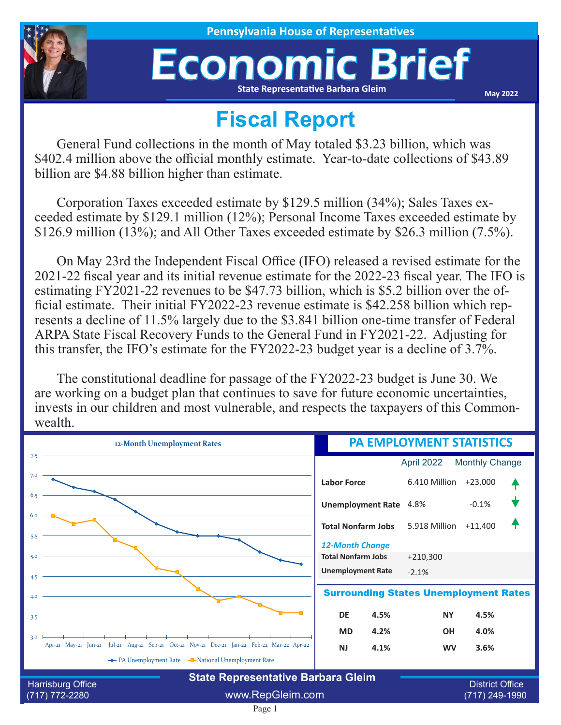

**House of Representatives** 

## Economic Brief **State Representative Barbara Gleim**

**May 2022**

## **Fiscal Report**

General Fund collections in the month of May totaled \$3.23 billion, which was \$402.4 million above the official monthly estimate. Year-to-date collections of \$43.89 billion are \$4.88 billion higher than estimate.

Corporation Taxes exceeded estimate by \$129.5 million (34%); Sales Taxes exceeded estimate by \$129.1 million (12%); Personal Income Taxes exceeded estimate by \$126.9 million (13%); and All Other Taxes exceeded estimate by \$26.3 million (7.5%).

On May 23rd the Independent Fiscal Office (IFO) released a revised estimate for the 2021-22 fiscal year and its initial revenue estimate for the 2022-23 fiscal year. The IFO is estimating FY2021-22 revenues to be \$47.73 billion, which is \$5.2 billion over the official estimate. Their initial FY2022-23 revenue estimate is \$42.258 billion which represents a decline of 11.5% largely due to the \$3.841 billion one-time transfer of Federal ARPA State Fiscal Recovery Funds to the General Fund in FY2021-22. Adjusting for this transfer, the IFO's estimate for the FY2022-23 budget year is a decline of 3.7%.

The constitutional deadline for passage of the FY2022-23 budget is June 30. We are working on a budget plan that continues to save for future economic uncertainties, invests in our children and most vulnerable, and respects the taxpayers of this Commonwealth.

| 12-Month Unemployment Rates                                                                                                                           | <b>PA EMPLOYMENT STATISTICS</b>                                   |
|-------------------------------------------------------------------------------------------------------------------------------------------------------|-------------------------------------------------------------------|
| 7.5                                                                                                                                                   | <b>Monthly Change</b><br>April 2022                               |
| 7.0                                                                                                                                                   | 6.410 Million<br>$+23,000$<br><b>Labor Force</b>                  |
| 6.5                                                                                                                                                   | $-0.1%$<br><b>Unemployment Rate</b> 4.8%                          |
| 6.0<br>5.5                                                                                                                                            | 5.918 Million<br>$+11,400$<br><b>Total Nonfarm Jobs</b>           |
| 5.0                                                                                                                                                   | <b>12-Month Change</b><br><b>Total Nonfarm Jobs</b><br>$+210,300$ |
| 4.5                                                                                                                                                   | <b>Unemployment Rate</b><br>$-2.1%$                               |
| 4.0                                                                                                                                                   | <b>Surrounding States Unemployment Rates</b>                      |
| 3.5                                                                                                                                                   | 4.5%<br><b>DE</b><br>4.5%<br><b>NY</b>                            |
| 3.0                                                                                                                                                   | 4.2%<br><b>MD</b><br><b>OH</b><br>4.0%                            |
| Apr-21 May-21 Jun-21 Jul-21 Aug-21 Sep-21 Oct-21 Nov-21 Dec-21 Jan-22 Feb-22 Mar-22 Apr-22<br>The PA Unemployment Rate The National Unemployment Rate | <b>NJ</b><br>4.1%<br>3.6%<br><b>WV</b>                            |
| <b>State Representative Barbara Gleim</b>                                                                                                             |                                                                   |
| <b>Harrisburg Office</b><br>www.RepGleim.com<br>$(717) 772 - 2280$                                                                                    | <b>District Office</b><br>(717) 249-1990                          |